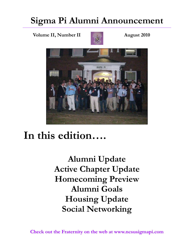#### **Sigma Pi Alumni Announcement**

**Volume II, Number II August 2010** 





# **In this edition….**

**Alumni Update Active Chapter Update Homecoming Preview Alumni Goals Housing Update Social Networking** 

**Check out the Fraternity on the web at www.ncsusigmapi.com**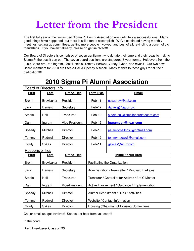# **Letter from the President**

The first full year of the re-vamped Sigma Pi Alumni Association was definitely a successful one. Many good things have happened, but there is still a ton to accomplish. We've continued having monthly meetings, setting up committees, getting more people involved, and best of all, rekindling a bunch of old friendships. If you haven't already, please do get involved!!!!

Our Board of Directors is comprised of seven gentlemen who donate their time and their ideas to making Sigma Pi the best it can be. The seven board positions are staggered 3-year terms. Holdovers from the 2009 Board are Dan Ingram, Jack Daniels, Tommy Rodwell, Grady Sykes, and myself. Our two new Board members for 2010 are Steele Hall & Speedy Mitchell. Many thanks to these guys for all their dedication!!!!

| 2010 Sigma Pi Alumni Association |                  |                       |                                                   |                                   |
|----------------------------------|------------------|-----------------------|---------------------------------------------------|-----------------------------------|
| Board of Directors Info          |                  |                       |                                                   |                                   |
| <b>First</b>                     | <u>Last</u>      | <b>Office Title</b>   | <b>Term Exp.</b>                                  | <b>Email</b>                      |
| <b>Brent</b>                     | <b>Brewbaker</b> | President             | Feb-11                                            | ncsubrew@aol.com                  |
| Jack                             | Daniels          | Secretary             | Feb-12                                            | danielsj@aatcc.org                |
| <b>Steele</b>                    | Hall             | Treasurer             | Feb-13                                            | steele.hall@smallenoughtocare.com |
| Dan                              | Ingram           | Vice-President        | Feb-12                                            | ingramdan@nc.rr.com               |
| Speedy                           | Mitchell         | Director              | Feb-13                                            | paulmitchellncsu@hotmail.com      |
| Tommy                            | Rodwell          | Director              | Feb-12                                            | tommy.rodwell@gmail.com           |
| Grady                            | Sykes            | Director              | Feb-11                                            | gsykes@nc.rr.com                  |
| Responsibilities                 |                  |                       |                                                   |                                   |
| <b>First</b>                     | Last             | <b>Office Title</b>   | <b>Initial Focus Area</b>                         |                                   |
| <b>Brent</b>                     | <b>Brewbaker</b> | President             | Facilitating the Organization                     |                                   |
| Jack                             | Daniels          | Secretary             | Administration / Newsletter / Minutes / By-Laws   |                                   |
| <b>Steele</b>                    | Hall             | Treasurer             | Treasurer / Controller for Actives / 3rd C Mentor |                                   |
| Dan                              | Ingram           | <b>Vice-President</b> | Active Involvement / Guidance / Implementation    |                                   |
| Speedy                           | Mitchell         | Director              | Alumni Recruitment / Dues / Activities            |                                   |
| Tommy                            | Rodwell          | Director              | Website / Contact Information                     |                                   |
| Grady                            | Sykes            | Director              | Housing (Chairman of Housing Committee)           |                                   |

Call or email us, get involved! See you or hear from you soon!!

In the bond,

Brent Brewbaker Class of '93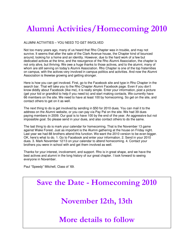#### **Alumni Activities/Homecoming 2010**

#### ALUMNI ACTIVITIES – YOU NEED TO GET INVOLVED

Not too many years ago, many of us heard that Rho Chapter was in trouble, and may not survive. It seems that after the sale of the Clark Avenue house, the Chapter kind of bounced around, looking for a home and an identity. However, due to the hard work of a few but dedicated actives at the time, and the resurgence of the Rho Alumni Association, the chapter is not only alive, but thriving. We owe a huge thanks to those actives, and to the alumni, many of whom are still serving on today's Alumni Association. Rho Chapter is one of the top fraternities on campus, with the actives very involved in campus politics and activities. And now the Alumni Association is likewise growing and getting stronger.

Here is how you can get involved. First, go to the Facebook site and type in Rho Chapter in the search bar. That will take you to the Rho Chapter Alumni Facebook page. Even if you don't know diddly about Facebook (like me), it is really simple. Enter your information, post a picture (get your kid or grandkid to help if you need to) and start making contacts. We currently have 66 members on the site. We need to have at least 100 by homecoming. So get on the site, and contact others to get on it as well.

The next thing to do is get involved by sending in \$50 for 2010 dues. You can mail it to the address on the Alumni website, or you can pay via Pay Pal on the site. We had 39 dues paying members in 2009. Our goal is to have 100 by the end of the year. An aggressive but not impossible goal. So please send in your dues, and also contact others to do the same.

The last thing to do is mark your calendar for homecoming. That is the November 13 game against Wake Forest. Just as important is the Alumni gathering at the house on Friday night. Last year we had 88 brothers attend this function. We want the 2010 version to be even bigger. OK, here's what to do. 1. Go to Facebook and enter your information. 2. Send in your 2010 dues. 3. Mark November 12/13 on your calendar to attend homecoming. 4. Contact your brothers you were in school with and get them involved as well.

Thanks for your interest, involvement, and support. Rho is in great shape, and we have the best actives and alumni in the long history of our great chapter. I look forward to seeing everyone in November.

Paul "Speedy" Mitchell, Class of '69.

# **Save the Date - Homecoming 2010 November 12th, 13th More details to follow**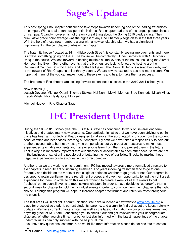## **Sage's Update**

This past spring Rho Chapter continued to take steps towards becoming one of the leading fraternities on campus. With a total of ten new potential initiates, Rho chapter had one of the largest pledge classes on campus. Quantity however, is not the only great thing about the Spring 2010 pledge class. Their cumulative grade point average was the highest of any Rho Chapter pledge class in the last three years. With the help of these new members along with a new scholarship plan, we had a significant improvement in the cumulative grades of the chapter.

The fraternity house (located at 3414 Hillsborough Street), is constantly seeing improvements and there is always something going on there. The house will be completely full next semester with 13 brothers living in the house. We look forward to hosting multiple alumni events at the house, including the Alumni Homecoming Event. Some other events that the brothers are looking forward to hosting are the Centennial Campus Downhill Derby and football tailgates. The Downhill Derby is a soap box derby and is the newest of Rho Chapter's philanthropy events. We are always excited to see and meet alumni. We hope that many of the you can make it out to these events and help to make them a success.

The brothers of Rho chapter are looking forward to continued success in the 2010-2011 school year.

#### New Initiates (10):

Joseph Devane, Michael Otteni, Thomas Stokes, Hal Nunn, Melvin Montes, Brad Kennedy, Micah Miller, Freddi Millebi, Nick Healy, Grant Russell

Michael Nguyen - Rho Chapter Sage

## **IFC President Update**

During the 2009-2010 school year the IFC at NC State has continued its work on several long term initiatives and created many new programs. One particular initiative that we have been striving to put in place has been an IFC Judicial Board designed to take over the accountability function from the student conduct office and hear cases involving our chapters. By oath we have taken a responsibility to hold our brothers accountable, but not by just giving out penalties, but by proactive measures to make these experiences teachable moments and have everyone learn from them and prevent them in the future. That is why it is inherently important that our chapters or accountable to each other because we are not in the business of sanctioning people but of bettering the lives of our fellow Greeks by making these negative experiences positive strides in the correct direction.

Another area we are working on is recruitment, IFC has moved towards a more formalized structure to aid chapters in recruitment of incoming freshmen. For years incoming freshmen tend to go to one fraternity and decide on the merits of that single experience whether to go greek or not. Our program is designed to retain gentlemen in the recruitment process and give them opportunity to find the right greek experience for them. In order to do this we are working to create a week of all IFC events to get "rushees" out to council events to meet several chapters in order to have decide to "go greek" , then a second week for chapter to hold the individual events in order to convince them their chapter is the right choice. Through this program we hope to increase chapter recruitment and retention rates throughout the council.

The last area I will highlight is communication. We have launched a new website www.ncsuifc.org a place for prospective student, current students, parents, and alumni to find out about the latest fraternity updates. We have current chapters listed, as well as the latest information on our programs, news, and anything greek at NC State. I encourage you to check it out and get involved with your undergraduate chapters. Whether you give time, money, or just stay informed with the latest happenings of the chapter, undergraduates can only succeed with the help of alumni.

If you have any questions, comments, or would like more information please do not hesitate to contact me:

Peter Barnes ncsuifc@gmail.com Interfraternity Council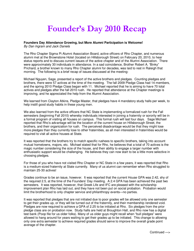#### **Founder's Day 2010 Recap**

#### **Founders Day Attendance Growing, but More Alumni Participation is Welcome!**

By Dan Ingram and Jack Daniels

 The Rho Chapter Sigma Pi Alumni Association Board, active officers of Rho Chapter, and numerous alumni met at the Brownstone Hotel (located on Hillsborough Street) on February 20, 2010, to hear status reports and to discuss current issues of the active chapter and of the Alumni Association. There were approximately 30 individuals in attendance. In a sad coincidence, Brother Robert A. "Binky" Prichard, a brother known to many Rho Chapter alumni for decades, was laid to rest in Raleigh that morning. The following is a brief recap of issues discussed at the meeting:

Michael Nguyen, Sage, presented a report of the active brothers and pledges. Counting pledges and brothers, there were 57 actives at the time of the meeting. The fall 2009 Pledge Class had 14 members, and the spring 2010 Pledge Class began with 11. Michael reported that he is aiming to have 70 total actives and pledges after the fall 2010 rush. He reported that attendance at the Chapter meetings is improving, and he appreciated the help from the Alumni Association.

We learned from Clayton Atkins, Pledge Master, that pledges have 4 mandatory study halls per week, to help instill good study habits in these young men.

We also learned from the active officers that NC State is implementing a formalized rush for the Fall semesters (beginning Fall 2010) whereby individuals interested in joining a fraternity or sorority will be in a formal program of visiting all houses on campus. This formal rush will last four days. Sage Michael reported that Rho's advantage will be the location of the current house on Hillsborough Street, the brothers, and their organization for rush. The perceived disadvantage would be that they might lose more pledges than they currently lose to other fraternities, as all men interested in fraternities would be required to visit all active houses at State.

It was reported that the brothers try to match specific rushees to specific brothers, taking into account mutual hometowns, majors, etc. Michael stated that for Rho, he believes that a total of 70 actives is the magic number considering the size of the house, and their ability to engage a larger number with enthusiastic support would be challenging. He believes they can now start to be a little more selective in choosing pledges.

For those of you who have not visited Rho Chapter or NC State in a few years, it was reported that Rho is a medium-sized fraternity at State currently. Many of us alumni can remember when Rho struggled to maintain 25-30 actives!

Grades continue to be an issue, however. It was reported that the current House GPA was 2.42, shy of the required 2.5, at the time of the Founders' Day meeting. A 2.4 GPA has been achieved the past two semesters. It was reported, however, that Greek Life and IFC are pleased with the scholarship improvement plan Rho has laid out, and they have not been put on social probation. Probation would limit the brotherhood to only chapter service and philanthropy events—no parties.

It was reported that pledges that are not initiated due to poor grades will be allowed only one semester to get their grades up, or they will be turned out of the fraternity, and their membership rendered void. Pledges are now required to achieve a GPA of 2.25 to be initiated at Rho. Six pledges from the prior pledge class are on probation now. Study halls are held at Broughton Hall, and Rho now has a digital test bank (Poop file for us older folks). Many of us older guys might recall when "bull pledges" were allowed to hang around for years waiting to get their grades up to be initiated. This change to allowing only one extra semester to achieve required grades should serve to improve the overall grade point average of the chapter.

Continued —>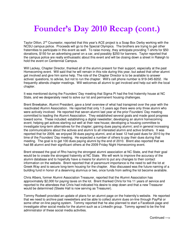#### **Founder's Day 2010 Recap (cont.)**

naternities to participate in this event as wen. To raise money, they anticipate providing T-shirts for \$50<br>donations, \$150 for an advertising panel on a car, and possibly \$250 for banners. Taylor reported that Taylor Dillon, 2<sup>nd</sup> Counselor, reported that this year's ACE project is a Soap Box Derby working with the NCSU campus police. Proceeds will go to the Special Olympics. The brothers are trying to get other fraternities to participate in this event as well. To raise money, they anticipate providing T-shirts for \$50 the campus police are really enthusiastic about this event and will be closing down a street in Raleigh to hold the event on Centennial Campus.

Will Lackey, Chapter Director, thanked all of the alumni present for their support, especially at the past Homecoming event. Will said that he will remain in this role during this year, but asked that other alumni get involved and give him some help. The role of the Chapter Director is to be available to answer actives' questions, to advise, but not to run the chapter. Will's cell phone number is 919-345-8202. He frequently attends chapter meetings. Will welcomes all alumni to get involved and help out with the local chapter.

It was mentioned during the Founders' Day meeting that Sigma Pi had the first fraternity house at NC State, and we desperately need to solve our lot and permanent housing challenges.

Brent Brewbaker, Alumni President, gave a brief overview of what had transpired over the year with the reactivated Alumni Association. He reported that only 1.5 years ago there were only three alumni who were actively involved. He reported that seven alumni last year at the prior Founders' Day meeting committed to leading the Alumni Association. They established several goals and made good progress toward some. These included: establishing a digital newsletter; developing an alumni homecoming event; helping get actives starting out well at their new house; developing a housing committee to investigate long-term alternatives for the chapter; gaining dues paying alumni; and in general increasing the communications about the actives and alumni to all interested alumni and active brothers. It was reported that for 2009, we enjoyed 39 dues paying alumni, and at least 12 had paid dues for 2010 by the time of the Founders' Day meeting. He expected a number of others to pay their dues during that meeting. The goal is to get 100 dues paying alumni by the end of 2010. Brent also reported that we had 88 alumni and their significant others at the 2009 Friday Night Homecoming event.

Brent stressed the goal of Rho having the strongest alumni association at NC State, and that their goal would be to create the strongest fraternity at NC State. We will work to improve the accuracy of the alumni database and to hopefully have a means for alumni to put any changes to their contact information on the website. Brent reported that of paramount importance is the need to sell the lot at Greek Way and to secure long-term housing for the chapter. Also discussed was the future naming of a building fund in honor of a deserving alumnus or two, once funds from selling the lot become available.

Chris Albers, former Alumni Association Treasurer, reported that the Alumni Association has approximately \$2,000 for paying taxes on the lot. Brent thanked Chris for his 11 years of service and reported to the attendees that Chris had indicated his desire to step down and that a new Treasurer would be determined (Steele Hall is now serving as Treasurer).

Tommy Rodwell provided an update of plans for an alumni page on the fraternity's website. He reported that we need to archive past newsletters and be able to collect alumni dues on-line through PayPal or some other on-line paying system. Tommy reported that he also planned to start a Facebook page and investigate other social media for the alumni such as a LinkedIn group. Tommy agreed to be the first administrator of these social media activities.

Continued —>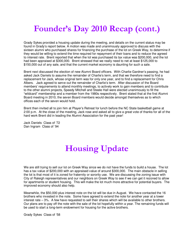#### **Founder's Day 2010 Recap (cont.)**

Grady Sykes provided a housing update during the meeting, and details on the current status may be found in Grady's report below. A motion was made and unanimously approved to discuss with the sixteen alumni who purchased shares for financing the purchase of the lot on Greek Way, to determine if they would be willing to extend the time required for repayment of their loans and to reduce the agreed to interest rate. Brent reported that when the lot was purchased its tax value was \$200,000, and the lot had been appraised at \$300,000. Brent stressed that we really need to net at least \$125,000 to \$150,000 out of any sale, and that the current market economy is daunting for such a sale.

Brent next discussed the election of new Alumni Board officers. With Charlie Gardner's passing, he had asked Jack Daniels to assume the remainder of Charlie's term, and that we therefore need to find a replacement for Jack, whose original term was for only one year, and to find a replacement for Chris Albers. Jack agreed to serve out the remainder of Charlie's term. After discussion of the Board members' requirements to attend monthly meetings, to actively work to gain members and to contribute to the other alumni projects, Speedy Mitchell and Steele Hall were elected unanimously to fill the "wildcard" membership and a member from the 1980s respectively. Brent stated that at the first Alumni Board meeting in 2010, the seven Board members would decide amongst themselves as to which offices each of the seven would hold.

Brent then invited all to join him at Player's Retreat for lunch before the NC State basketball game at 2:00 p.m. At the close of the meeting, Jack rose and asked all to give a great vote of thanks for all of the hard work Brent did in leading the Alumni Association for the past year!

Jack Daniels Class of '72 Dan Ingram Class of '94

#### **Housing Update**

We are still trying to sell our lot on Greek Way since we do not have the funds to build a house. The lot has a tax value of \$200,000 with an appraised value of around \$300,000. The main obstacle in selling the lot is that most of it is zoned for fraternity or sorority use. We are discussing the zoning issue with City of Raleigh representatives and our neighbors on Greek Way to see if we can get it rezoned to allow for apartments or student housing. This will make the lot much more attractive for potential buyers. The improved economy should also help.

Meanwhile, the \$50,000 plus interest note on the lot will be due in August. We have contacted the 16 brothers who invested in the note. Some have agreed to extend the note for another year at a lower interest rate – 3%. A few have requested to sell their shares which will be available to other brothers. Our plans are to pay off the note with the sale of the lot hopefully within a year. The remaining funds will be used to start a long-term endowment for housing for the active brothers.

Grady Sykes Class of '58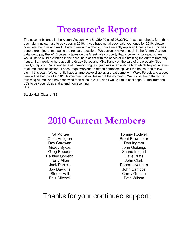## **Treasurer's Report**

The account balance in the Alumni Account was \$4,250.00 as of 06/22/10. I have attached a form that each alumnus can use to pay dues in 2010. If you have not already paid your dues for 2010, please complete the form and mail it back to me with a check. I have recently replaced Chris Albers who has done a great job of managing the treasurer position. We currently have enough in the Alumni Account balance to pay the 2010 property taxes on the Greek Way property that is currently for sale, but we would like to build a cushion in the account to assist with the needs of maintaining the current fraternity house. I am working hard assisting Grady Sykes and Mike Kaney on the sale of the property (See Grady's report). Our attendance at homecoming last year was at an all-time high which helped in terms of alumni dues collection. I encourage everyone to attend homecoming, visit the house, and fellow alumni this year. We currently have a large active chapter, a great game with Wake Forest, and a good time will be had by all at 2010 homecoming (I will leave out the rhyming). We would like to thank the following Alumni who have renewed their dues in 2010, and I would like to challenge Alumni from the 80's to pay your dues and attend homecoming. ITB,

Steele Hall Class of '88

## **2010 Current Members**

Pat McKee Chris Hultgren Roy Carawan Grady Sykes Greg Roberts Berkley Godehn Terry Allen Jack Daniels Jay Dawkins Steele Hall Paul Mitchell

Tommy Rodwell Brent Brewbaker Dan Ingram John Gibbings Shane Ireland Dave Butts John Clark Robert Liverman John Campos Carey Gupton Pete Wilson

#### Thanks for your continued support!